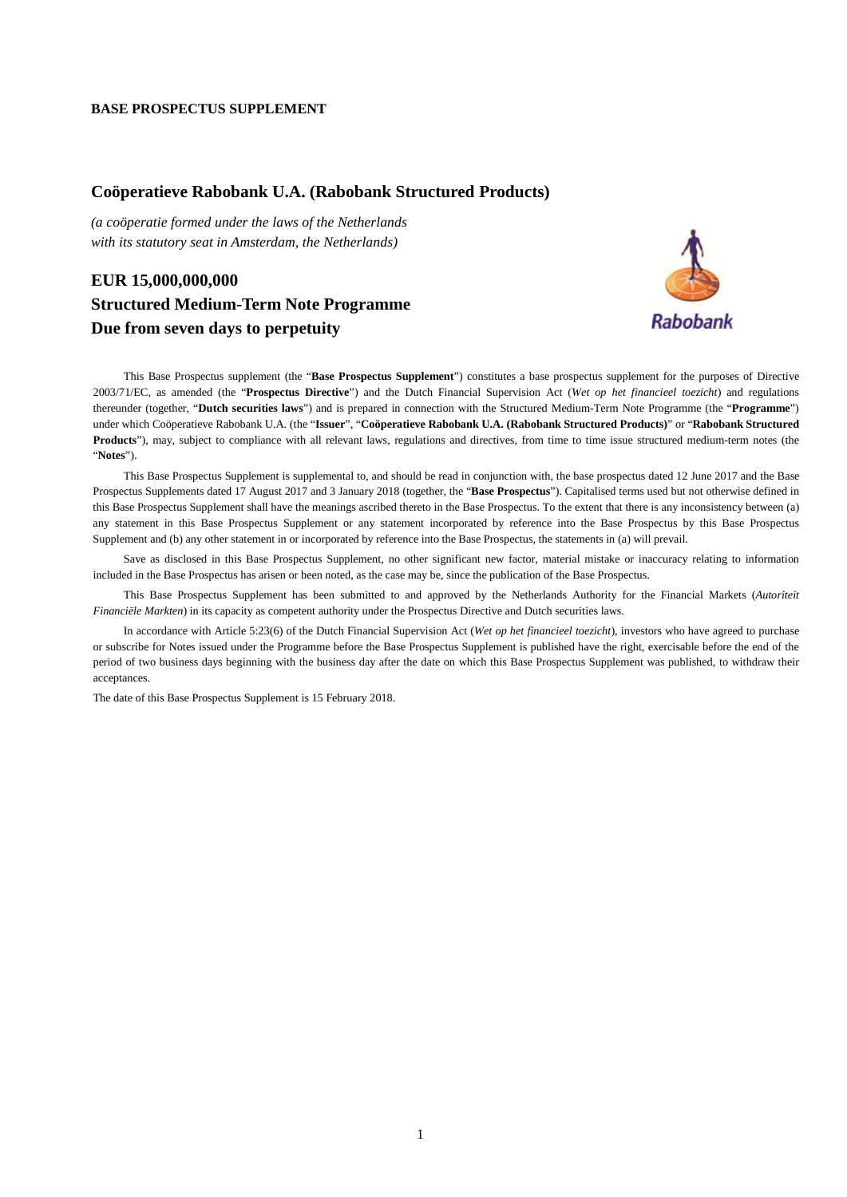## **BASE PROSPECTUS SUPPLEMENT**

## **Coöperatieve Rabobank U.A. (Rabobank Structured Products)**

*(a coöperatie formed under the laws of the Netherlands with its statutory seat in Amsterdam, the Netherlands)*

## **EUR 15,000,000,000 Structured Medium-Term Note Programme Due from seven days to perpetuity**



This Base Prospectus supplement (the "**Base Prospectus Supplement**") constitutes a base prospectus supplement for the purposes of Directive 2003/71/EC, as amended (the "**Prospectus Directive**") and the Dutch Financial Supervision Act (*Wet op het financieel toezicht*) and regulations thereunder (together, "**Dutch securities laws**") and is prepared in connection with the Structured Medium-Term Note Programme (the "**Programme**") under which Coöperatieve Rabobank U.A. (the "**Issuer**", "**Coöperatieve Rabobank U.A. (Rabobank Structured Products)**" or "**Rabobank Structured**  Products"), may, subject to compliance with all relevant laws, regulations and directives, from time to time issue structured medium-term notes (the "**Notes**").

This Base Prospectus Supplement is supplemental to, and should be read in conjunction with, the base prospectus dated 12 June 2017 and the Base Prospectus Supplements dated 17 August 2017 and 3 January 2018 (together, the "**Base Prospectus**"). Capitalised terms used but not otherwise defined in this Base Prospectus Supplement shall have the meanings ascribed thereto in the Base Prospectus. To the extent that there is any inconsistency between (a) any statement in this Base Prospectus Supplement or any statement incorporated by reference into the Base Prospectus by this Base Prospectus Supplement and (b) any other statement in or incorporated by reference into the Base Prospectus, the statements in (a) will prevail.

Save as disclosed in this Base Prospectus Supplement, no other significant new factor, material mistake or inaccuracy relating to information included in the Base Prospectus has arisen or been noted, as the case may be, since the publication of the Base Prospectus.

This Base Prospectus Supplement has been submitted to and approved by the Netherlands Authority for the Financial Markets (*Autoriteit Financiële Markten*) in its capacity as competent authority under the Prospectus Directive and Dutch securities laws.

In accordance with Article 5:23(6) of the Dutch Financial Supervision Act (*Wet op het financieel toezicht*), investors who have agreed to purchase or subscribe for Notes issued under the Programme before the Base Prospectus Supplement is published have the right, exercisable before the end of the period of two business days beginning with the business day after the date on which this Base Prospectus Supplement was published, to withdraw their acceptances.

The date of this Base Prospectus Supplement is 15 February 2018.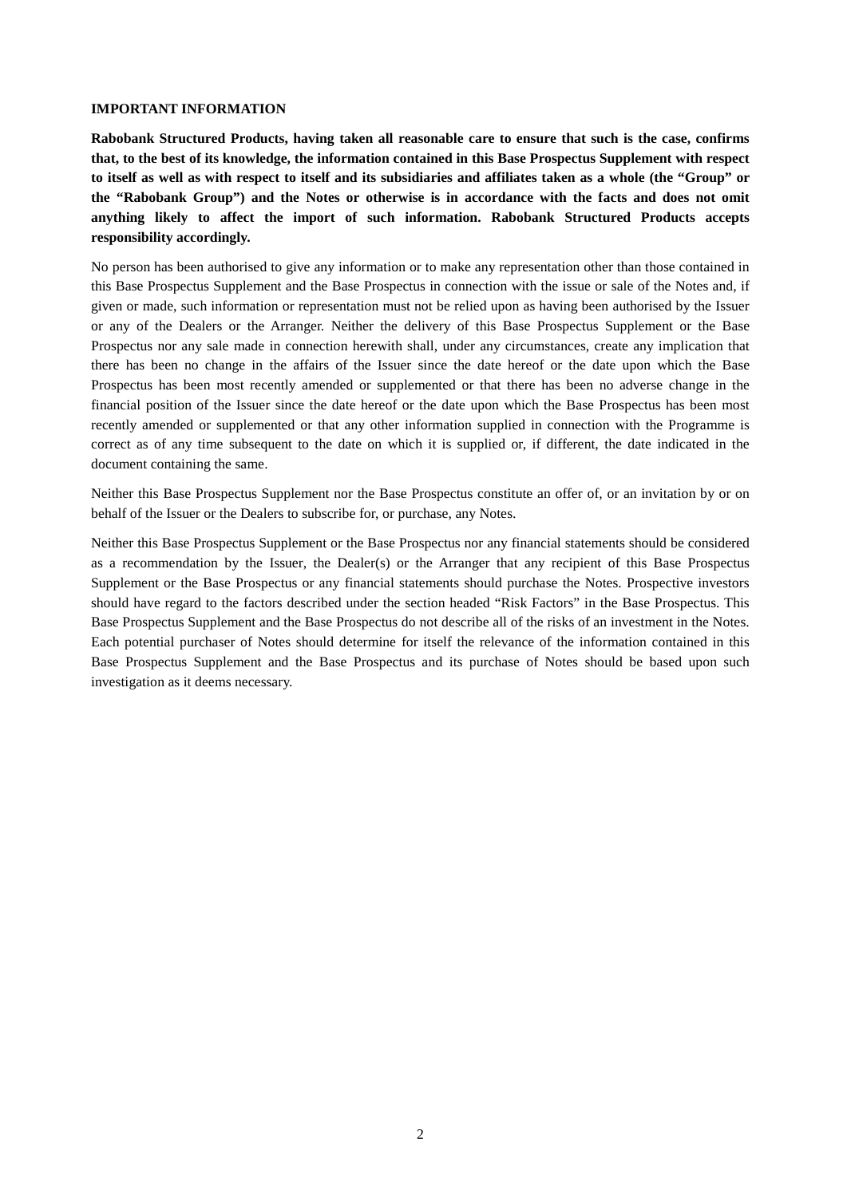## **IMPORTANT INFORMATION**

**Rabobank Structured Products, having taken all reasonable care to ensure that such is the case, confirms that, to the best of its knowledge, the information contained in this Base Prospectus Supplement with respect to itself as well as with respect to itself and its subsidiaries and affiliates taken as a whole (the "Group" or the "Rabobank Group") and the Notes or otherwise is in accordance with the facts and does not omit anything likely to affect the import of such information. Rabobank Structured Products accepts responsibility accordingly.**

No person has been authorised to give any information or to make any representation other than those contained in this Base Prospectus Supplement and the Base Prospectus in connection with the issue or sale of the Notes and, if given or made, such information or representation must not be relied upon as having been authorised by the Issuer or any of the Dealers or the Arranger. Neither the delivery of this Base Prospectus Supplement or the Base Prospectus nor any sale made in connection herewith shall, under any circumstances, create any implication that there has been no change in the affairs of the Issuer since the date hereof or the date upon which the Base Prospectus has been most recently amended or supplemented or that there has been no adverse change in the financial position of the Issuer since the date hereof or the date upon which the Base Prospectus has been most recently amended or supplemented or that any other information supplied in connection with the Programme is correct as of any time subsequent to the date on which it is supplied or, if different, the date indicated in the document containing the same.

Neither this Base Prospectus Supplement nor the Base Prospectus constitute an offer of, or an invitation by or on behalf of the Issuer or the Dealers to subscribe for, or purchase, any Notes.

Neither this Base Prospectus Supplement or the Base Prospectus nor any financial statements should be considered as a recommendation by the Issuer, the Dealer(s) or the Arranger that any recipient of this Base Prospectus Supplement or the Base Prospectus or any financial statements should purchase the Notes. Prospective investors should have regard to the factors described under the section headed "Risk Factors" in the Base Prospectus. This Base Prospectus Supplement and the Base Prospectus do not describe all of the risks of an investment in the Notes. Each potential purchaser of Notes should determine for itself the relevance of the information contained in this Base Prospectus Supplement and the Base Prospectus and its purchase of Notes should be based upon such investigation as it deems necessary.